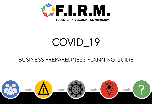

**FORUM OF INTEGRATED RISK MITIGATION** 

## COVID\_19

#### BUSINESS PREPAREDNESS PLANNING GUIDE

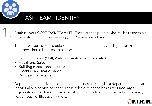

#### TASK TEAM - IDENTIFY

Establish your CORE TASK TEAM (TT). These are the people who will be responsible for specifying and implementing your Preparedness Plan.

The roles/responsibilities below define the different areas which your team members should be responsible for:

- Communication (Staff, Visitors, Clients, Customers, etc.);
- Health and Safety;
- Building control and security;
- Cleaning and maintenance;
- Business management.

Depending on the size or scale of your business this maybe a department head, an individual or a service provider. These roles outline the basics required larger organisations may have further speciality units which would form part of the team, i.e. campus health, travel risk, etc.

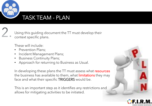

#### TASK TEAM - PLAN

Using this guiding document the TT must develop their context specific plans.

These will include:

- Prevention Plans;
- Incident Management Plans;
- Business Continuity Plans;
- Approach for returning to Business as Usual.

In developing these plans the TT must assess what resources the business has available to them, what *limitations* they may face and what their specific TRIGGERS would be.

This is an important step as it identifies any restrictions and allows for mitigating activities to be initiated.

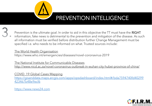

## PREVENTION INTELLIGENCE

Prevention is the ultimate goal. In order to aid in this objective the TT must have the RIGHT information, fake news is detrimental to the prevention and mitigation of the disease. As such all information must be verified before distribution further Change Management must be specified i.e. who needs to be informed on what. Trusted sources include:

#### The World Health Organisation

https://www.who.int/emergencies/diseases/novel-coronavirus-2019

[The National Institute for Communicable Diseases](http://www.nicd.ac.za/novel-coronavirus-outbreak-in-wuhan-city-hubei-province-of-china/) <http://www.nicd.ac.za/novel-coronavirus-outbreak-in-wuhan-city-hubei-province-of-china/>

#### COVID\_19 Global Cases Mapping

[https://gisanddata.maps.arcgis.com/apps/opsdashboard/index.html#/bda7594740fd40299](https://gisanddata.maps.arcgis.com/apps/opsdashboard/index.html#/bda7594740fd40299423467b48e9ecf6) 423467b48e9ecf6

[https://www.news24.com](https://www.news24.com/)

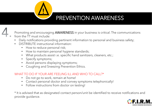

## PREVENTION AWARENESS



Promoting and encouraging AWARENESS in your business is critical. The communications from the TT must include:

- Daily notifications providing pertinent information to personal and business safety;
- DISTRIBUTE instructional information:
	- How to reduce personal risk;
	- How to maintain personal hygiene standards;
	- What products assist i.e. specific hand sanitizers, cleaners, etc.;
	- Specify symptoms;
	- Avoid persons displaying symptoms;
	- Coughing and Sneezing Prevention Ethics.

#### WHAT TO DO IF YOUR ARE FEELING ILL AND WHO TO CALL?\*

- Do not go to work, remain at home!
- Contact personal doctor and convey symptoms telephonically!
- Follow instructions from doctor on testing!

\* It is advised that as designated contact person/unit be identified to receive notifications and provide guidance.

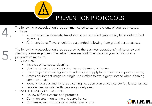

## PREVENTION PROTOCOLS

The following protocols should be communicated to staff and clients of your businesses:

- **Travel** 
	- All non-essential domestic travel should be cancelled (subjectivity to be determined by the TT);
	- All international Travel should be suspended following from global best practices.

The following protocols should be adopted by the business operations/maintenance and cleaning teams regardless of whether there are confirmed cases in your buildings as a preventative measure:

- **CLEANING** 
	- Increase office space cleaning;
	- Use the correct products alcohol based cleaner or chlorine;
	- Encourage increased hygiene standards, i.e. supply hand sanitizers at point of entry;
	- Assess equipment usage i.e. single use clothes to avoid germ spread when cleaning common areas;
	- Identify risk areas and increase cleaning i.e. open plan offices, cafeterias, lavatories, etc.
	- Provide cleaning staff with necessary safety gear.
- MAINTENANCE/ OPERATIONS
	- Review airflow systems and protocols;
	- Common area monitoring and surveillance;
	- Confirm access protocols and restrictions on site.

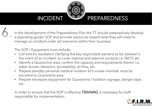

#### INCIDENT PREPAREDNESS

In the development of the Preparedness Plan the TT should preemptively develop a operating guide/ SOP and provide resources toward what they will need to manage an incident under set scenarios within their business.

The SOP / Equipment must include:

- Call tree for escalation clarifying the key responsible persons to be advised in the event of an incident, to cover internal and external contacts i.e. NICD, etc.
- Identify a Quarantine area, confirm the capacity and requirements therein i.e. water access, ablutions, accessibility, air flow, etc.
- Prepare standby personal medical isolation kit's incase member must be escorted to Quarantine area.
- Prepare necessary equipment for Quarantine / Isolation signage, danger tape, etc.

In order to ensure that the SOP is effective **TRAINING** is necessary for staff responsible for implementation.

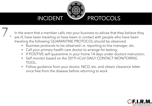

In the event that a member calls into your business to advise that they believe they are ill, have been traveling or have been in contact with people who have been traveling the following QUARANTINE PROTOCOL should be observed.

- Business protocols to be observed i.e. reporting to line manager, etc.
- Call your primary health care doctor to arrange for testing;
- If POSITIVE self-quarantine in your home 14 days under doctors instruction;
- Self monitor based on the 2019-nCoV DAILY CONTACT MONITORING TOOL;
- Follow guidance from your doctor, NICD, etc. and obtain clearance letter once free from the disease before returning to work.

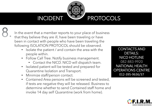# INCIDENT PROTOCOLS

In the event that a member reports to your place of business that they believe they are ill, have been traveling or have been in contact with people who have been traveling the following ISOLATION PROTOCOL should be observed.

- Isolate the patient / and contain the area with the people within.
- Follow Call Tree. Notify business management.
	- Contact the NICD. NICD will dispatch team.
- Isolated patient will be tested and prepared for Quarantine Isolation and Transport.
- Minimize staff/person contact.
- Contained Area persons will be screened and tested, if tests are negative they will be released. Business to determine whether to send Contained staff home and invoke 14 day self Quarantine (work from home).

CONTACTS AND DETAILS: NICD HOTLINE 082-883-9920 NATIONAL HEALTH OPERATIONS CENTRE 012-395-9636/37

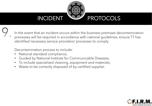

In the event that an incident occurs within the business premises decontamination processes will be required in accordance with national guidelines, ensure TT has identified necessary service providers/ processes to comply.

Decontamination process to include:

- National standard compliance;
- Guided by National Institute for Communicable Diseases;
- To include specialised cleaning, equipment and materials;
- Waste to be correctly disposed of by certified supplier.

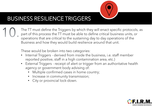

### **BUSINESS RESILIENCE TRIGGERS**

The TT must define the Triggers by which they will enact specific protocols, as part of this process the TT must be able to define critical business units, or operations that are critical to the sustaining day to day operations of the Business and how they would build resilience around that unit.

These would be broken into two categories:

- Internal Triggers derived from inside the business, i.e. staff member reported positive, staff in a high contamination area, etc.)
- External Triggers receipt of alert or trigger from an authoritative health agency or government body advising of:
	- Multiple confirmed cases in home country;
	- Increase in community transmission;
	- City or provincial lock-down.

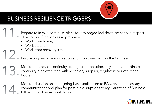

## BUSINESS RESILIENCE TRIGGERS

Prepare to invoke continuity plans for prolonged lockdown scenario in respect

- of all critical functions as appropriate:
	- Work from home;
	- Work transfer;
	- Work from recovery site.
- Ensure ongoing communication and monitoring across the business.
- Monitor efficacy of continuity strategies in execution. If systemic, coordinate continuity plan execution with necessary supplier, regulatory or institutional bodies.

Monitor situation on an ongoing basis until return to BAU, ensure necessary communications and plan for possible disruptions to regularization of Business following prolonged shut down.

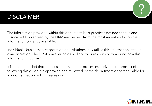#### DISCLAIMER



The information provided within this document, best practices defined therein and associated links shared by the FIRM are derived from the most recent and accurate information currently available.

Individuals, businesses, corporation or institutions may utilise this information at their own discretion. The FIRM however holds no liability or responsibility around how this information is utilised.

It is recommended that all plans, information or processes derived as a product of following this guide are approved and reviewed by the department or person liable for your organisation or businesses risk.

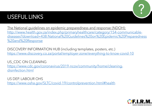## USEFUL LINKS



The National guidelines on epidemic preparedness and response (NDOH): http://www.health.gov.za/index.php/primaryhealthcare/category/154-communicable[diseases?download=438:National%20Guidelines%20on%20Epidemic%20Preparedness](http://www.health.gov.za/index.php/primaryhealthcare/category/154-communicable-diseases?download=438:National%20Guidelines%20on%20Epidemic%20Preparedness%20and%20Response) %20and%20Response

DISCOVERY INFORMATION HUB (including templates, posters, etc.) <https://www.discovery.co.za/portal/employer-zone/everything-to-know-covid-10>

US CDC ON CLEANING [https://www.cdc.gov/coronavirus/2019-ncov/community/home/cleaning](https://www.cdc.gov/coronavirus/2019-ncov/community/home/cleaning-disinfection.html)disinfection.html

US DEP. LABOUR OHS <https://www.osha.gov/SLTC/covid-19/controlprevention.html#health>

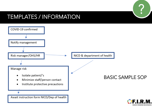#### TEMPLATES / INFORMATION



?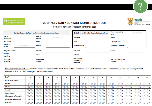NATIONAL INSTITUTE FOR<br>COMMUNICABLE DISEASES

#### 2019-nCoV DAILY CONTACT MONITORING TOOL

Complete for each contact of confirmed case

|                           | Details of contact of case under investigation/confirmed case |                              |            |                                    | Details of health official completing this form | <b>Date completing</b><br>form       | DD/MM/YYYY |
|---------------------------|---------------------------------------------------------------|------------------------------|------------|------------------------------------|-------------------------------------------------|--------------------------------------|------------|
| <b>NICD</b><br>Identifier |                                                               | Date of<br>contact           | DD/MM/YYYY | Surname                            |                                                 | <b>Name</b>                          |            |
| Surname                   |                                                               | <b>Name</b>                  |            | Role                               |                                                 | <b>Facility name</b>                 |            |
| Date of<br>birth          | DD/MM/YYYY                                                    | Gender                       |            | <b>Email address</b>               |                                                 | <b>Telephone number</b>              |            |
| <b>Physical address</b>   |                                                               | <b>District</b>              |            | Province                           |                                                 | Town                                 |            |
| House<br>number           |                                                               | <b>Street</b>                |            | Suburb                             |                                                 |                                      |            |
| <b>Contact</b><br>number  |                                                               | <b>Alternative</b><br>number |            | Next of Kin<br>name and<br>surname |                                                 | <b>Next of Kin contact</b><br>number |            |

Instructions for completion: Mark "Y" if symptom present and "N" if not. If any first five symptoms are present collect a combined nasopharyngeal and oropharyngeal swab. Refer to 2019-nCOV Quick Guide (link) for additional details.

| <b>DAY</b>                 |                   |     | з                       | 4                 |       | 6                 |                         | 8                       | 9                    | 10                      | 11                      | 12                   | 13                | 14                      |
|----------------------------|-------------------|-----|-------------------------|-------------------|-------|-------------------|-------------------------|-------------------------|----------------------|-------------------------|-------------------------|----------------------|-------------------|-------------------------|
| Date (DD/MM)               |                   |     |                         |                   |       |                   |                         |                         |                      |                         |                         |                      |                   |                         |
| Fever                      | ⊠י⊡               | א⊡ז | $\Box$ y $\Box$ n       | ⊐Y□N              | ון ⊃ץ | OY⊟N              | $\square$ y $\square$ n | וו⊡ז                    | _]Y [_] N            | ⊡א⊡ו                    | $\square$ y $\square$ n | ∏Y∏N                 | $\Box$ y $\Box$ n | $\Box$ Y $\Box$ N       |
| Chills                     | ⊠י⊡               | א⊡ז | $\Box$ y $\Box$ n       | $\Box$ y $\Box$ n | א⊡ז   | ⊿Y⊟N              | $\square$ Y $\square$ N | OY⊟N                    | $\exists$ Y $\Box$ N | וו⊡ז                    | וו⊡זי                   | ∃Y□N                 | $\Box$ y $\Box$ n | $\Box$ Y $\Box$ N       |
| Cough                      | $\Box$ y $\Box$ n | א⊡ז | $\square$ Y $\square$ N | א⊟ז               | א⊡ז   | $\Box$ y $\Box$ n | $\Box Y \Box N$         | ⊟r⊟n                    | א⊡ז                  | וו⊡ז                    | א⊡ז                     | $\exists$ Y $\Box$ N | א⊡ז               | $\Box Y \Box N$         |
| Sore throat                | $\Box$ y $\Box$ n | א⊡ז | $\square$ Y $\square$ N | א⊟ז               | א⊡ז   | א⊡ז               | ⊿Y⊟N                    | $\Box$ y $\Box$ n       | $\exists$ Y $\Box$ N | $\square$ y $\square$ n | וו⊡ז                    | $\exists Y \Box N$   | П¥Г<br>1N         | $\Box Y \Box N$         |
| <b>Shortness of breath</b> | ⊠י⊡               | א⊡ז | $\Box$ y $\Box$ n       | ון ⊃ץ             | א⊡ז   | ∃Y□N              | $\square$ Y $\square$ N | א⊟ז                     | ∃Y□N                 | ⊡Υ□N                    | א⊟ז                     | א⊡ז                  | $\Box$ y $\Box$ n | $\Box Y \Box N$         |
| Myalgia/body pains         | ⊠י⊡               | א⊡ז | $\Box$ y $\Box$ n       | וו⊡זי             | א⊡ז   | א⊡ז               | $\Box$ y $\Box$ n       | $\Box$ y $\Box$ n       | $\Box$ y $\Box$ n    | ⊿γ⊟N                    | $\Box$ y $\Box$ n       | ∃Y□N                 | א⊡ז               | $\square$ Y $\square$ N |
| Diarrhea                   | א⊡ז               | א⊡ז | $\Box$ y $\Box$ n       | $\Box$ y $\Box$ n | א⊡ז   | ∃Y□N              | $\square$ Y $\square$ N | $\square$ y $\square$ n | ∃Y□N                 | $\Box$ y $\Box$ n       | א⊡ז                     | ור⊡ז                 | א⊡ז               | $\square$ Y $\square$ N |